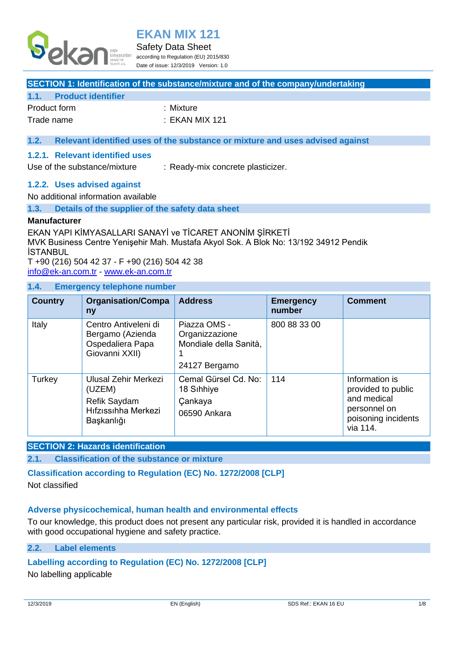

#### Safety Data Sheet

according to Regulation (EU) 2015/830 Date of issue: 12/3/2019 Version: 1.0

#### **SECTION 1: Identification of the substance/mixture and of the company/undertaking**

#### **1.1. Product identifier**

| Product form | :Mixture      |
|--------------|---------------|
| Trade name   | :EKAN MIX 121 |

## **1.2. Relevant identified uses of the substance or mixture and uses advised against**

#### **1.2.1. Relevant identified uses**

Use of the substance/mixture : Ready-mix concrete plasticizer.

#### **1.2.2. Uses advised against**

No additional information available

**1.3. Details of the supplier of the safety data sheet**

#### **Manufacturer**

EKAN YAPI KİMYASALLARI SANAYİ ve TİCARET ANONİM ŞİRKETİ MVK Business Centre Yenişehir Mah. Mustafa Akyol Sok. A Blok No: 13/192 34912 Pendik İSTANBUL T +90 (216) 504 42 37 - F +90 (216) 504 42 38

[info@ek-an.com.tr](mailto:info@ek-an.com.tr) - <www.ek-an.com.tr>

#### **1.4. Emergency telephone number**

| <b>Country</b> | <b>Organisation/Compa</b><br>ny                                                            | <b>Address</b>                                                            | <b>Emergency</b><br>number | <b>Comment</b>                                                                                         |
|----------------|--------------------------------------------------------------------------------------------|---------------------------------------------------------------------------|----------------------------|--------------------------------------------------------------------------------------------------------|
| Italy          | Centro Antiveleni di<br>Bergamo (Azienda<br>Ospedaliera Papa<br>Giovanni XXII)             | Piazza OMS -<br>Organizzazione<br>Mondiale della Sanità,<br>24127 Bergamo | 800 88 33 00               |                                                                                                        |
| Turkey         | Ulusal Zehir Merkezi<br>(UZEM)<br><b>Refik Saydam</b><br>Hıfzıssıhha Merkezi<br>Başkanlığı | Cemal Gürsel Cd. No:<br>18 Sihhiye<br>Çankaya<br>06590 Ankara             | 114                        | Information is<br>provided to public<br>and medical<br>personnel on<br>poisoning incidents<br>via 114. |

### **SECTION 2: Hazards identification**

## **2.1. Classification of the substance or mixture**

## **Classification according to Regulation (EC) No. 1272/2008 [CLP]**

Not classified

### **Adverse physicochemical, human health and environmental effects**

To our knowledge, this product does not present any particular risk, provided it is handled in accordance with good occupational hygiene and safety practice.

#### **2.2. Label elements**

### **Labelling according to Regulation (EC) No. 1272/2008 [CLP]**

No labelling applicable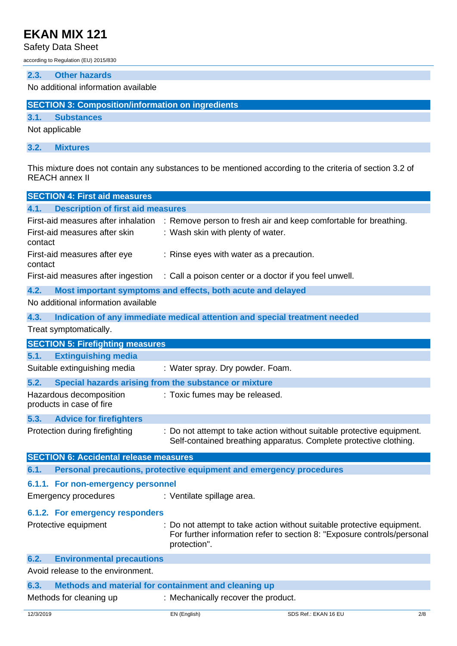Safety Data Sheet

according to Regulation (EU) 2015/830

### **2.3. Other hazards**

No additional information available

|  | <b>SECTION 3: Composition/information on ingredients</b> |  |
|--|----------------------------------------------------------|--|
|  |                                                          |  |

## **3.1. Substances**

Not applicable

**3.2. Mixtures**

This mixture does not contain any substances to be mentioned according to the criteria of section 3.2 of REACH annex II

| <b>SECTION 4: First aid measures</b>                |                                                                                                                                                                   |
|-----------------------------------------------------|-------------------------------------------------------------------------------------------------------------------------------------------------------------------|
| 4.1.<br><b>Description of first aid measures</b>    |                                                                                                                                                                   |
| First-aid measures after inhalation                 | : Remove person to fresh air and keep comfortable for breathing.                                                                                                  |
| First-aid measures after skin<br>contact            | : Wash skin with plenty of water.                                                                                                                                 |
| First-aid measures after eye<br>contact             | : Rinse eyes with water as a precaution.                                                                                                                          |
| First-aid measures after ingestion                  | : Call a poison center or a doctor if you feel unwell.                                                                                                            |
| 4.2.                                                | Most important symptoms and effects, both acute and delayed                                                                                                       |
| No additional information available                 |                                                                                                                                                                   |
| 4.3.                                                | Indication of any immediate medical attention and special treatment needed                                                                                        |
| Treat symptomatically.                              |                                                                                                                                                                   |
| <b>SECTION 5: Firefighting measures</b>             |                                                                                                                                                                   |
| 5.1.<br><b>Extinguishing media</b>                  |                                                                                                                                                                   |
| Suitable extinguishing media                        | : Water spray. Dry powder. Foam.                                                                                                                                  |
| 5.2.                                                | Special hazards arising from the substance or mixture                                                                                                             |
| Hazardous decomposition<br>products in case of fire | : Toxic fumes may be released.                                                                                                                                    |
| 5.3.<br><b>Advice for firefighters</b>              |                                                                                                                                                                   |
| Protection during firefighting                      | Do not attempt to take action without suitable protective equipment.<br>Self-contained breathing apparatus. Complete protective clothing.                         |
| <b>SECTION 6: Accidental release measures</b>       |                                                                                                                                                                   |
| 6.1.                                                | Personal precautions, protective equipment and emergency procedures                                                                                               |
| 6.1.1. For non-emergency personnel                  |                                                                                                                                                                   |
| Emergency procedures                                | : Ventilate spillage area.                                                                                                                                        |
| 6.1.2. For emergency responders                     |                                                                                                                                                                   |
| Protective equipment                                | : Do not attempt to take action without suitable protective equipment.<br>For further information refer to section 8: "Exposure controls/personal<br>protection". |
| 6.2.<br><b>Environmental precautions</b>            |                                                                                                                                                                   |
| Avoid release to the environment.                   |                                                                                                                                                                   |
| 6.3.                                                | Methods and material for containment and cleaning up                                                                                                              |
| Methods for cleaning up                             | : Mechanically recover the product.                                                                                                                               |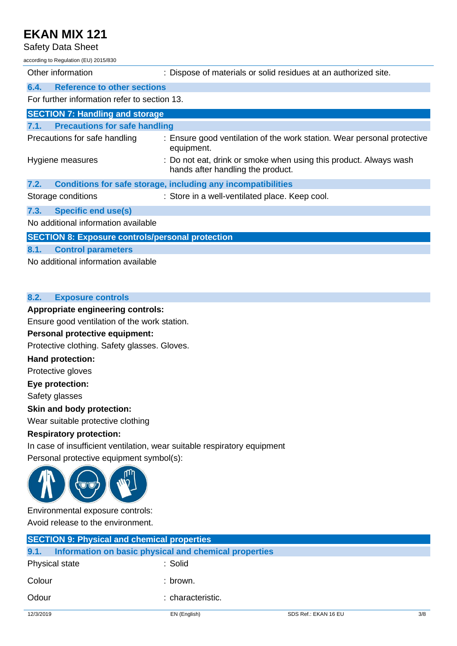Safety Data Sheet

according to Regulation (EU) 2015/830

| Other information                                       | : Dispose of materials or solid residues at an authorized site.                                        |
|---------------------------------------------------------|--------------------------------------------------------------------------------------------------------|
| <b>Reference to other sections</b><br>6.4.              |                                                                                                        |
| For further information refer to section 13.            |                                                                                                        |
| <b>SECTION 7: Handling and storage</b>                  |                                                                                                        |
| 7.1. Precautions for safe handling                      |                                                                                                        |
| Precautions for safe handling                           | : Ensure good ventilation of the work station. Wear personal protective<br>equipment.                  |
| Hygiene measures                                        | : Do not eat, drink or smoke when using this product. Always wash<br>hands after handling the product. |
| 7.2.                                                    | Conditions for safe storage, including any incompatibilities                                           |
| Storage conditions                                      | : Store in a well-ventilated place. Keep cool.                                                         |
| <b>Specific end use(s)</b><br>7.3.                      |                                                                                                        |
| No additional information available                     |                                                                                                        |
| <b>SECTION 8: Exposure controls/personal protection</b> |                                                                                                        |
| <b>Control parameters</b><br>8.1.                       |                                                                                                        |
|                                                         |                                                                                                        |

No additional information available

## **8.2. Exposure controls**

## **Appropriate engineering controls:**

Ensure good ventilation of the work station.

## **Personal protective equipment:**

Protective clothing. Safety glasses. Gloves.

## **Hand protection:**

Protective gloves

**Eye protection:**

Safety glasses

## **Skin and body protection:**

Wear suitable protective clothing

## **Respiratory protection:**

In case of insufficient ventilation, wear suitable respiratory equipment Personal protective equipment symbol(s):



Environmental exposure controls: Avoid release to the environment.

|                | <b>SECTION 9: Physical and chemical properties</b>    |                      |     |
|----------------|-------------------------------------------------------|----------------------|-----|
| 9.1.           | Information on basic physical and chemical properties |                      |     |
| Physical state | : Solid                                               |                      |     |
| Colour         | : brown.                                              |                      |     |
| Odour          | : characteristic.                                     |                      |     |
| 12/3/2019      | EN (English)                                          | SDS Ref.: EKAN 16 EU | 3/8 |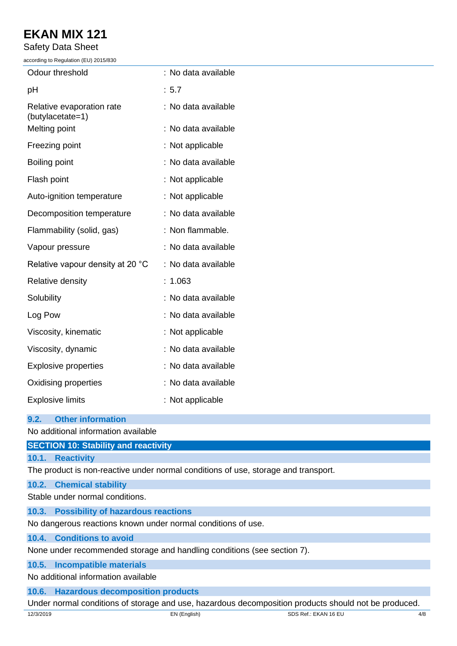Safety Data Sheet

according to Regulation (EU) 2015/830

| Odour threshold                               | : No data available |
|-----------------------------------------------|---------------------|
| pH                                            | : 5.7               |
| Relative evaporation rate<br>(butylacetate=1) | : No data available |
| Melting point                                 | : No data available |
| Freezing point                                | : Not applicable    |
| Boiling point                                 | : No data available |
| Flash point                                   | : Not applicable    |
| Auto-ignition temperature                     | : Not applicable    |
| Decomposition temperature                     | : No data available |
| Flammability (solid, gas)                     | : Non flammable.    |
| Vapour pressure                               | : No data available |
| Relative vapour density at 20 °C              | : No data available |
| Relative density                              | : 1.063             |
| Solubility                                    | : No data available |
| Log Pow                                       | : No data available |
| Viscosity, kinematic                          | : Not applicable    |
| Viscosity, dynamic                            | : No data available |
| <b>Explosive properties</b>                   | : No data available |
| Oxidising properties                          | : No data available |
| <b>Explosive limits</b>                       | : Not applicable    |
|                                               |                     |

## **9.2. Other information**

No additional information available

| <b>SECTION 10: Stability and reactivity</b>                                        |
|------------------------------------------------------------------------------------|
| 10.1. Reactivity                                                                   |
| The product is non-reactive under normal conditions of use, storage and transport. |
|                                                                                    |

**10.2. Chemical stability**

Stable under normal conditions.

## **10.3. Possibility of hazardous reactions**

No dangerous reactions known under normal conditions of use.

## **10.4. Conditions to avoid**

None under recommended storage and handling conditions (see section 7).

## **10.5. Incompatible materials**

No additional information available

## **10.6. Hazardous decomposition products**

Under normal conditions of storage and use, hazardous decomposition products should not be produced.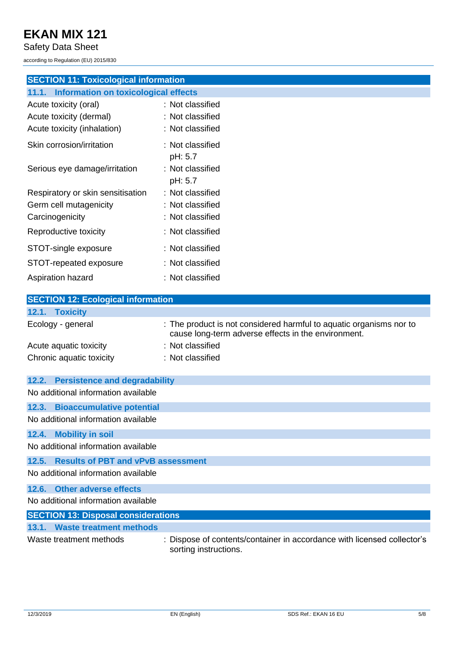Safety Data Sheet

according to Regulation (EU) 2015/830

# **SECTION 11: Toxicological information**

| <b>Information on toxicological effects</b><br>11.1. |                             |
|------------------------------------------------------|-----------------------------|
| Acute toxicity (oral)                                | : Not classified            |
| Acute toxicity (dermal)                              | :Not classified             |
| Acute toxicity (inhalation)                          | : Not classified            |
| Skin corrosion/irritation                            | : Not classified<br>pH: 5.7 |
| Serious eye damage/irritation                        | : Not classified<br>pH: 5.7 |
| Respiratory or skin sensitisation                    | : Not classified            |
| Germ cell mutagenicity                               | : Not classified            |
| Carcinogenicity                                      | : Not classified            |
| Reproductive toxicity                                | : Not classified            |
| STOT-single exposure                                 | : Not classified            |
| STOT-repeated exposure                               | :Not classified             |
| Aspiration hazard                                    | :Not classified             |

| <b>SECTION 12: Ecological information</b> |                                                                                                                            |  |  |
|-------------------------------------------|----------------------------------------------------------------------------------------------------------------------------|--|--|
| 12.1. Toxicity                            |                                                                                                                            |  |  |
| Ecology - general                         | : The product is not considered harmful to aquatic organisms nor to<br>cause long-term adverse effects in the environment. |  |  |
| Acute aquatic toxicity                    | : Not classified                                                                                                           |  |  |
| Chronic aquatic toxicity                  | : Not classified                                                                                                           |  |  |
| 12.2. Persistence and degradability       |                                                                                                                            |  |  |
| No additional information available       |                                                                                                                            |  |  |
| 12.3. Bioaccumulative potential           |                                                                                                                            |  |  |

No additional information available

### **12.4. Mobility in soil**

No additional information available

## **12.5. Results of PBT and vPvB assessment**

No additional information available

### **12.6. Other adverse effects**

No additional information available

| <b>SECTION 13: Disposal considerations</b> |                                                                                                  |
|--------------------------------------------|--------------------------------------------------------------------------------------------------|
| 13.1. Waste treatment methods              |                                                                                                  |
| Waste treatment methods                    | : Dispose of contents/container in accordance with licensed collector's<br>sorting instructions. |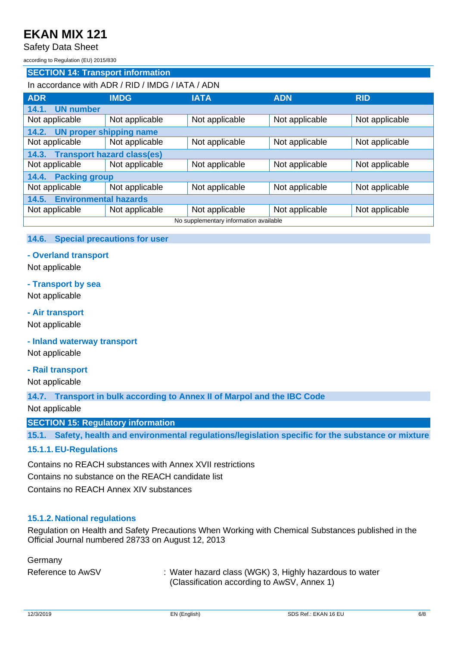Safety Data Sheet

according to Regulation (EU) 2015/830

### **SECTION 14: Transport information**

### In accordance with ADR / RID / IMDG / IATA / ADN

| <b>ADR</b>                             | <b>IMDG</b>                    | <b>IATA</b>    | <b>ADN</b>     | <b>RID</b>     |
|----------------------------------------|--------------------------------|----------------|----------------|----------------|
| <b>UN number</b><br>14.1.              |                                |                |                |                |
| Not applicable                         | Not applicable                 | Not applicable | Not applicable | Not applicable |
| 14.2.                                  | <b>UN proper shipping name</b> |                |                |                |
| Not applicable                         | Not applicable                 | Not applicable | Not applicable | Not applicable |
| 14.3. Transport hazard class(es)       |                                |                |                |                |
| Not applicable                         | Not applicable                 | Not applicable | Not applicable | Not applicable |
| <b>Packing group</b><br>14.4.          |                                |                |                |                |
| Not applicable                         | Not applicable                 | Not applicable | Not applicable | Not applicable |
| <b>Environmental hazards</b><br>14.5.  |                                |                |                |                |
| Not applicable                         | Not applicable                 | Not applicable | Not applicable | Not applicable |
| No supplementary information available |                                |                |                |                |

#### **14.6. Special precautions for user**

### **- Overland transport**

Not applicable

#### **- Transport by sea**

Not applicable

#### **- Air transport**

Not applicable

**- Inland waterway transport**

Not applicable

#### **- Rail transport**

Not applicable

**14.7. Transport in bulk according to Annex II of Marpol and the IBC Code**

Not applicable

#### **SECTION 15: Regulatory information**

**15.1. Safety, health and environmental regulations/legislation specific for the substance or mixture**

#### **15.1.1.EU-Regulations**

Contains no REACH substances with Annex XVII restrictions Contains no substance on the REACH candidate list Contains no REACH Annex XIV substances

#### **15.1.2. National regulations**

Regulation on Health and Safety Precautions When Working with Chemical Substances published in the Official Journal numbered 28733 on August 12, 2013

Germany

Reference to AwSV : Water hazard class (WGK) 3, Highly hazardous to water (Classification according to AwSV, Annex 1)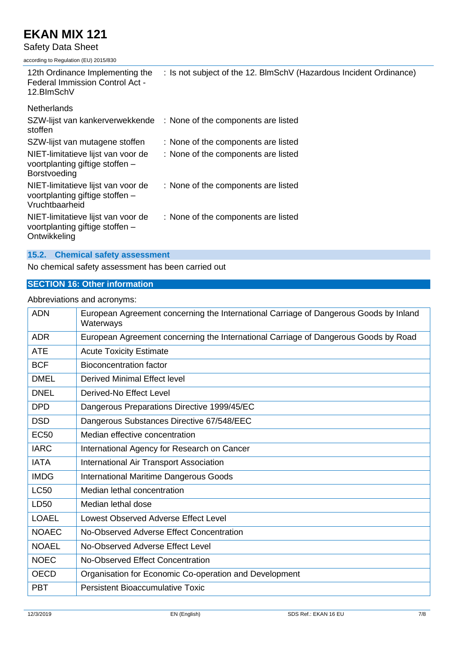Safety Data Sheet

according to Regulation (EU) 2015/830

| 12th Ordinance Implementing the<br>Federal Immission Control Act -<br>12.BlmSchV        | : Is not subject of the 12. BlmSchV (Hazardous Incident Ordinance) |
|-----------------------------------------------------------------------------------------|--------------------------------------------------------------------|
| <b>Netherlands</b>                                                                      |                                                                    |
| SZW-lijst van kankerverwekkende<br>stoffen                                              | : None of the components are listed                                |
| SZW-lijst van mutagene stoffen                                                          | : None of the components are listed                                |
| NIET-limitatieve lijst van voor de<br>voortplanting giftige stoffen -<br>Borstvoeding   | : None of the components are listed                                |
| NIET-limitatieve lijst van voor de<br>voortplanting giftige stoffen -<br>Vruchtbaarheid | : None of the components are listed                                |
| NIET-limitatieve lijst van voor de<br>voortplanting giftige stoffen -<br>Ontwikkeling   | : None of the components are listed                                |
| <b>Chemical safety assessment</b><br>15.2.                                              |                                                                    |

No chemical safety assessment has been carried out

## **SECTION 16: Other information**

## Abbreviations and acronyms:

| <b>ADN</b>   | European Agreement concerning the International Carriage of Dangerous Goods by Inland<br>Waterways |
|--------------|----------------------------------------------------------------------------------------------------|
| <b>ADR</b>   | European Agreement concerning the International Carriage of Dangerous Goods by Road                |
| <b>ATE</b>   | <b>Acute Toxicity Estimate</b>                                                                     |
| <b>BCF</b>   | <b>Bioconcentration factor</b>                                                                     |
| <b>DMEL</b>  | <b>Derived Minimal Effect level</b>                                                                |
| <b>DNEL</b>  | Derived-No Effect Level                                                                            |
| <b>DPD</b>   | Dangerous Preparations Directive 1999/45/EC                                                        |
| <b>DSD</b>   | Dangerous Substances Directive 67/548/EEC                                                          |
| <b>EC50</b>  | Median effective concentration                                                                     |
| <b>IARC</b>  | International Agency for Research on Cancer                                                        |
| <b>IATA</b>  | International Air Transport Association                                                            |
| <b>IMDG</b>  | <b>International Maritime Dangerous Goods</b>                                                      |
| <b>LC50</b>  | Median lethal concentration                                                                        |
| LD50         | Median lethal dose                                                                                 |
| <b>LOAEL</b> | Lowest Observed Adverse Effect Level                                                               |
| <b>NOAEC</b> | No-Observed Adverse Effect Concentration                                                           |
| <b>NOAEL</b> | No-Observed Adverse Effect Level                                                                   |
| <b>NOEC</b>  | No-Observed Effect Concentration                                                                   |
| <b>OECD</b>  | Organisation for Economic Co-operation and Development                                             |
| <b>PBT</b>   | <b>Persistent Bioaccumulative Toxic</b>                                                            |